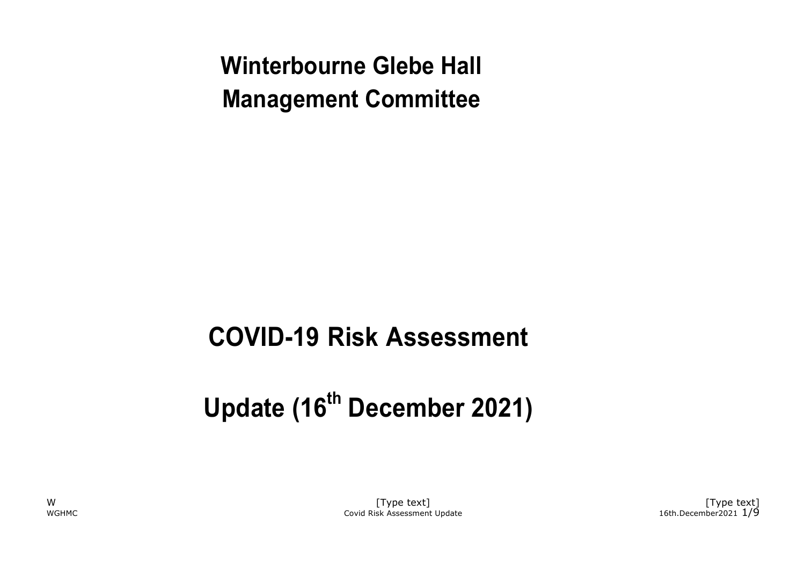**Winterbourne Glebe Hall Management Committee**

# **COVID-19 Risk Assessment**

# **Update (16th December 2021)**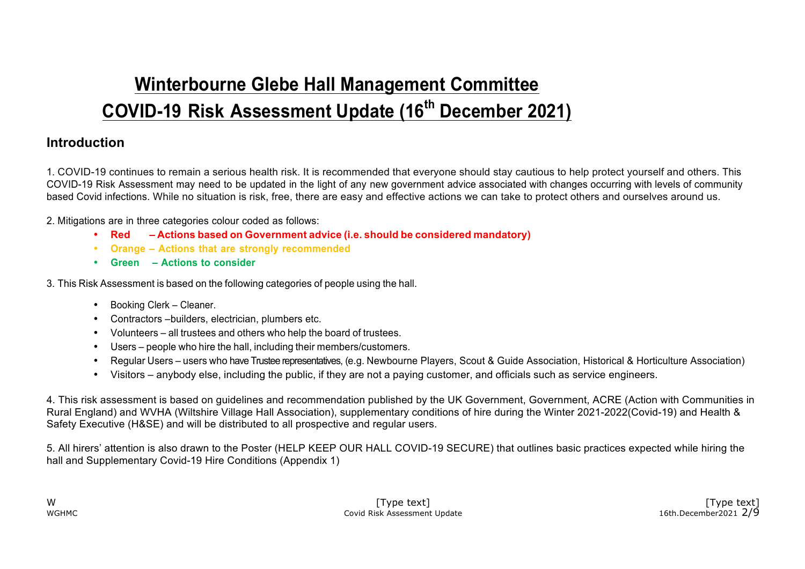## **Winterbourne Glebe Hall Management Committee COVID-19 Risk Assessment Update (16th December 2021)**

### **Introduction**

1. COVID-19 continues to remain a serious health risk. It is recommended that everyone should stay cautious to help protect yourself and others. This COVID-19 Risk Assessment may need to be updated in the light of any new government advice associated with changes occurring with levels of community based Covid infections. While no situation is risk, free, there are easy and effective actions we can take to protect others and ourselves around us.

2. Mitigations are in three categories colour coded as follows:

- **Red – Actions based on Government advice (i.e. should be considered mandatory)**
- **Orange – Actions that are strongly recommended**
- **Green – Actions to consider**

3. This Risk Assessment is based on the following categories of people using the hall.

- Booking Clerk Cleaner.
- Contractors –builders, electrician, plumbers etc.
- Volunteers all trustees and others who help the board of trustees.
- Users people who hire the hall, including their members/customers.
- Regular Users users who have Trustee representatives, (e.g. Newbourne Players, Scout & Guide Association, Historical & Horticulture Association)
- Visitors anybody else, including the public, if they are not a paying customer, and officials such as service engineers.

4. This risk assessment is based on guidelines and recommendation published by the UK Government, Government, ACRE (Action with Communities in Rural England) and WVHA (Wiltshire Village Hall Association), supplementary conditions of hire during the Winter 2021-2022(Covid-19) and Health & Safety Executive (H&SE) and will be distributed to all prospective and regular users.

5. All hirers' attention is also drawn to the Poster (HELP KEEP OUR HALL COVID-19 SECURE) that outlines basic practices expected while hiring the hall and Supplementary Covid-19 Hire Conditions (Appendix 1)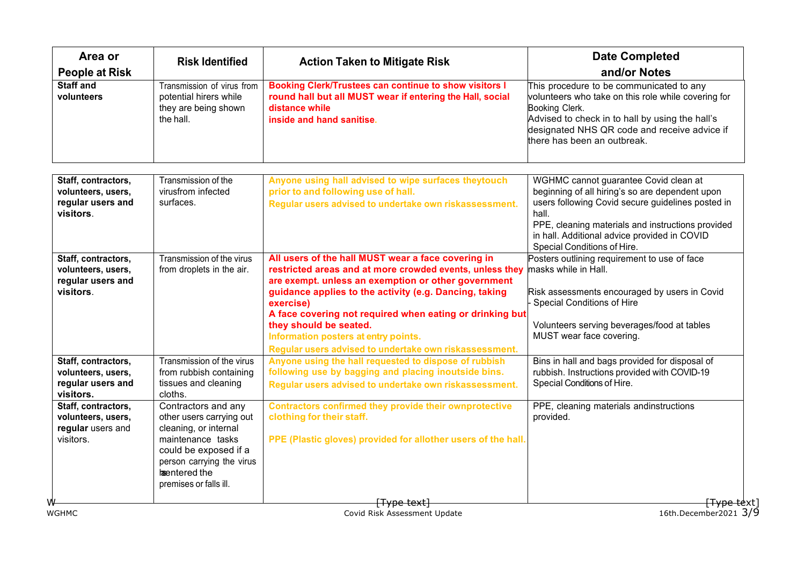| Area or                                                                     | <b>Risk Identified</b>                                                                                                                                                                                 | <b>Action Taken to Mitigate Risk</b>                                                                                                                                                                                                                                                                                                                                                                                                 | <b>Date Completed</b><br>and/or Notes                                                                                                                                                                                                                                                      |
|-----------------------------------------------------------------------------|--------------------------------------------------------------------------------------------------------------------------------------------------------------------------------------------------------|--------------------------------------------------------------------------------------------------------------------------------------------------------------------------------------------------------------------------------------------------------------------------------------------------------------------------------------------------------------------------------------------------------------------------------------|--------------------------------------------------------------------------------------------------------------------------------------------------------------------------------------------------------------------------------------------------------------------------------------------|
| <b>People at Risk</b><br><b>Staff and</b><br>volunteers                     | Transmission of virus from<br>potential hirers while<br>they are being shown<br>the hall.                                                                                                              | <b>Booking Clerk/Trustees can continue to show visitors I</b><br>round hall but all MUST wear if entering the Hall, social<br>distance while<br>inside and hand sanitise.                                                                                                                                                                                                                                                            | This procedure to be communicated to any<br>volunteers who take on this role while covering for<br>Booking Clerk.<br>Advised to check in to hall by using the hall's<br>designated NHS QR code and receive advice if<br>there has been an outbreak.                                        |
| Staff, contractors,<br>volunteers, users,<br>regular users and<br>visitors. | Transmission of the<br>virusfrom infected<br>surfaces.                                                                                                                                                 | Anyone using hall advised to wipe surfaces theytouch<br>prior to and following use of hall.<br>Regular users advised to undertake own riskassessment.                                                                                                                                                                                                                                                                                | WGHMC cannot guarantee Covid clean at<br>beginning of all hiring's so are dependent upon<br>users following Covid secure guidelines posted in<br>hall.<br>PPE, cleaning materials and instructions provided<br>in hall. Additional advice provided in COVID<br>Special Conditions of Hire. |
| Staff, contractors,<br>volunteers, users,<br>regular users and<br>visitors. | Transmission of the virus<br>from droplets in the air.                                                                                                                                                 | All users of the hall MUST wear a face covering in<br>restricted areas and at more crowded events, unless they<br>are exempt. unless an exemption or other government<br>guidance applies to the activity (e.g. Dancing, taking<br>exercise)<br>A face covering not required when eating or drinking but<br>they should be seated.<br>Information posters at entry points.<br>Regular users advised to undertake own riskassessment. | Posters outlining requirement to use of face<br>masks while in Hall.<br>Risk assessments encouraged by users in Covid<br><b>Special Conditions of Hire</b><br>Volunteers serving beverages/food at tables<br>MUST wear face covering.                                                      |
| Staff, contractors,<br>volunteers, users,<br>regular users and<br>visitors. | Transmission of the virus<br>from rubbish containing<br>tissues and cleaning<br>cloths.                                                                                                                | Anyone using the hall requested to dispose of rubbish<br>following use by bagging and placing inoutside bins.<br>Regular users advised to undertake own riskassessment.                                                                                                                                                                                                                                                              | Bins in hall and bags provided for disposal of<br>rubbish. Instructions provided with COVID-19<br>Special Conditions of Hire.                                                                                                                                                              |
| Staff, contractors,<br>volunteers, users,<br>regular users and<br>visitors. | Contractors and any<br>other users carrying out<br>cleaning, or internal<br>maintenance tasks<br>could be exposed if a<br>person carrying the virus<br><b>lanentered</b> the<br>premises or falls ill. | <b>Contractors confirmed they provide their ownprotective</b><br>clothing for their staff.<br>PPE (Plastic gloves) provided for allother users of the hall.                                                                                                                                                                                                                                                                          | PPE, cleaning materials andinstructions<br>provided.                                                                                                                                                                                                                                       |
| <b>WGHMC</b>                                                                |                                                                                                                                                                                                        | <del>[Type text]</del><br>Covid Risk Assessment Update                                                                                                                                                                                                                                                                                                                                                                               | <del>[Type te</del> xt]<br>16th.December2021 3/9                                                                                                                                                                                                                                           |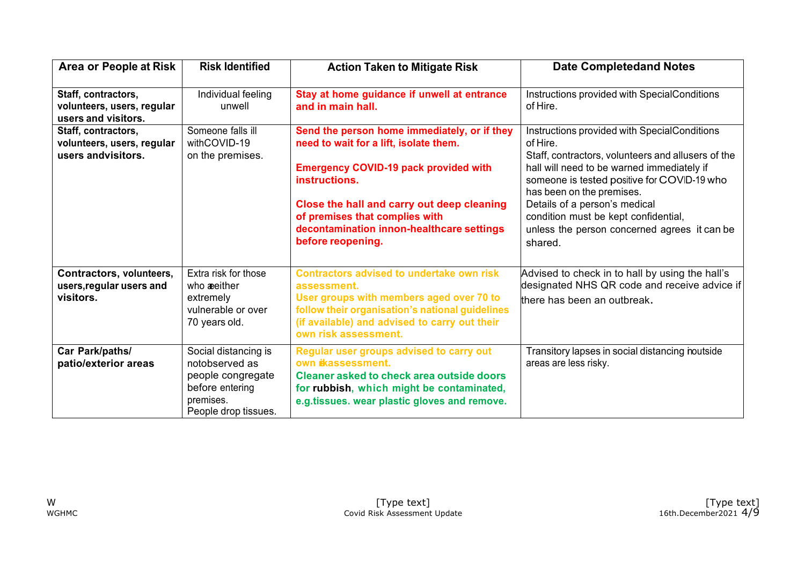| Area or People at Risk                                                   | <b>Risk Identified</b>                                                                                              | <b>Action Taken to Mitigate Risk</b>                                                                                                                                                                                                                                                                      | <b>Date Completedand Notes</b>                                                                                                                                                                                                                                                                                                                                               |
|--------------------------------------------------------------------------|---------------------------------------------------------------------------------------------------------------------|-----------------------------------------------------------------------------------------------------------------------------------------------------------------------------------------------------------------------------------------------------------------------------------------------------------|------------------------------------------------------------------------------------------------------------------------------------------------------------------------------------------------------------------------------------------------------------------------------------------------------------------------------------------------------------------------------|
| Staff, contractors,<br>volunteers, users, regular<br>users and visitors. | Individual feeling<br>unwell                                                                                        | Stay at home guidance if unwell at entrance<br>and in main hall.                                                                                                                                                                                                                                          | Instructions provided with SpecialConditions<br>of Hire.                                                                                                                                                                                                                                                                                                                     |
| Staff, contractors,<br>volunteers, users, regular<br>users andvisitors.  | Someone falls ill<br>withCOVID-19<br>on the premises.                                                               | Send the person home immediately, or if they<br>need to wait for a lift, isolate them.<br><b>Emergency COVID-19 pack provided with</b><br>instructions.<br>Close the hall and carry out deep cleaning<br>of premises that complies with<br>decontamination innon-healthcare settings<br>before reopening. | Instructions provided with SpecialConditions<br>of Hire.<br>Staff, contractors, volunteers and allusers of the<br>hall will need to be warned immediately if<br>someone is tested positive for COVID-19 who<br>has been on the premises.<br>Details of a person's medical<br>condition must be kept confidential,<br>unless the person concerned agrees it can be<br>shared. |
| Contractors, volunteers,<br>users, regular users and<br>visitors.        | Extra risk for those<br>who <b>æeither</b><br>extremely<br>vulnerable or over<br>70 years old.                      | <b>Contractors advised to undertake own risk</b><br>assessment.<br>User groups with members aged over 70 to<br>follow their organisation's national guidelines<br>(if available) and advised to carry out their<br>own risk assessment.                                                                   | Advised to check in to hall by using the hall's<br>designated NHS QR code and receive advice if<br>there has been an outbreak.                                                                                                                                                                                                                                               |
| Car Park/paths/<br>patio/exterior areas                                  | Social distancing is<br>notobserved as<br>people congregate<br>before entering<br>premises.<br>People drop tissues. | Regular user groups advised to carry out<br>own ikassessment.<br><b>Cleaner asked to check area outside doors</b><br>for rubbish, which might be contaminated,<br>e.g.tissues. wear plastic gloves and remove.                                                                                            | Transitory lapses in social distancing noutside<br>areas are less risky.                                                                                                                                                                                                                                                                                                     |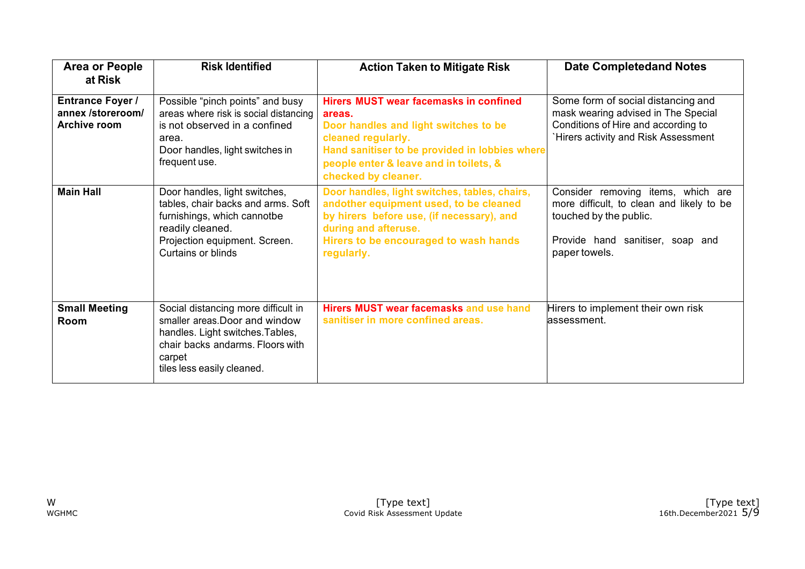| <b>Area or People</b><br>at Risk                             | <b>Risk Identified</b>                                                                                                                                                                | <b>Action Taken to Mitigate Risk</b>                                                                                                                                                                                                      | <b>Date Completedand Notes</b>                                                                                                                                 |
|--------------------------------------------------------------|---------------------------------------------------------------------------------------------------------------------------------------------------------------------------------------|-------------------------------------------------------------------------------------------------------------------------------------------------------------------------------------------------------------------------------------------|----------------------------------------------------------------------------------------------------------------------------------------------------------------|
| <b>Entrance Foyer /</b><br>annex /storeroom/<br>Archive room | Possible "pinch points" and busy<br>areas where risk is social distancing<br>is not observed in a confined<br>area.<br>Door handles, light switches in<br>frequent use.               | <b>Hirers MUST wear facemasks in confined</b><br>areas.<br>Door handles and light switches to be<br>cleaned regularly.<br>Hand sanitiser to be provided in lobbies where<br>people enter & leave and in toilets, &<br>checked by cleaner. | Some form of social distancing and<br>mask wearing advised in The Special<br>Conditions of Hire and according to<br>Hirers activity and Risk Assessment        |
| <b>Main Hall</b>                                             | Door handles, light switches,<br>tables, chair backs and arms. Soft<br>furnishings, which cannotbe<br>readily cleaned.<br>Projection equipment. Screen.<br><b>Curtains or blinds</b>  | Door handles, light switches, tables, chairs,<br>andother equipment used, to be cleaned<br>by hirers before use, (if necessary), and<br>during and afteruse.<br>Hirers to be encouraged to wash hands<br>regularly.                       | Consider removing items, which are<br>more difficult, to clean and likely to be<br>touched by the public.<br>Provide hand sanitiser, soap and<br>paper towels. |
| <b>Small Meeting</b><br>Room                                 | Social distancing more difficult in<br>smaller areas. Door and window<br>handles. Light switches. Tables,<br>chair backs andarms. Floors with<br>carpet<br>tiles less easily cleaned. | Hirers MUST wear facemasks and use hand<br>sanitiser in more confined areas.                                                                                                                                                              | Hirers to implement their own risk<br>assessment.                                                                                                              |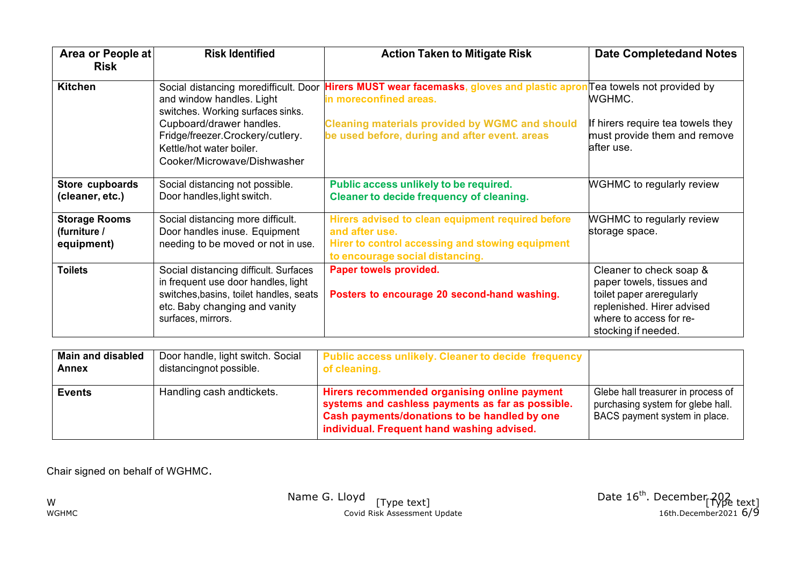| Area or People at<br><b>Risk</b>                   | <b>Risk Identified</b>                                                                                                                                                         | <b>Action Taken to Mitigate Risk</b>                                                                                                                               | <b>Date Completedand Notes</b>                                                                                                                                    |
|----------------------------------------------------|--------------------------------------------------------------------------------------------------------------------------------------------------------------------------------|--------------------------------------------------------------------------------------------------------------------------------------------------------------------|-------------------------------------------------------------------------------------------------------------------------------------------------------------------|
| <b>Kitchen</b>                                     | Social distancing moredifficult. Door<br>and window handles. Light<br>switches. Working surfaces sinks.<br>Cupboard/drawer handles.                                            | Hirers MUST wear facemasks, gloves and plastic apron Tea towels not provided by<br>in moreconfined areas.<br><b>Cleaning materials provided by WGMC and should</b> | WGHMC.<br>If hirers require tea towels they                                                                                                                       |
|                                                    | Fridge/freezer.Crockery/cutlery.<br>Kettle/hot water boiler.<br>Cooker/Microwave/Dishwasher                                                                                    | be used before, during and after event. areas                                                                                                                      | must provide them and remove<br>after use.                                                                                                                        |
| Store cupboards<br>(cleaner, etc.)                 | Social distancing not possible.<br>Door handles, light switch.                                                                                                                 | Public access unlikely to be required.<br><b>Cleaner to decide frequency of cleaning.</b>                                                                          | <b>WGHMC</b> to regularly review                                                                                                                                  |
| <b>Storage Rooms</b><br>(furniture /<br>equipment) | Social distancing more difficult.<br>Door handles inuse. Equipment<br>needing to be moved or not in use.                                                                       | Hirers advised to clean equipment required before<br>and after use.<br>Hirer to control accessing and stowing equipment<br>to encourage social distancing.         | <b>WGHMC</b> to regularly review<br>storage space.                                                                                                                |
| <b>Toilets</b>                                     | Social distancing difficult. Surfaces<br>in frequent use door handles, light<br>switches, basins, toilet handles, seats<br>etc. Baby changing and vanity<br>surfaces, mirrors. | Paper towels provided.<br>Posters to encourage 20 second-hand washing.                                                                                             | Cleaner to check soap &<br>paper towels, tissues and<br>toilet paper areregularly<br>replenished. Hirer advised<br>where to access for re-<br>stocking if needed. |

| <b>Main and disabled</b> | Door handle, light switch. Social | Public access unlikely. Cleaner to decide frequency                                                                                                                                             |                                                                                                          |
|--------------------------|-----------------------------------|-------------------------------------------------------------------------------------------------------------------------------------------------------------------------------------------------|----------------------------------------------------------------------------------------------------------|
| <b>Annex</b>             | distancingnot possible.           | of cleaning.                                                                                                                                                                                    |                                                                                                          |
| <b>Events</b>            | Handling cash andtickets.         | Hirers recommended organising online payment<br>systems and cashless payments as far as possible.<br>Cash payments/donations to be handled by one<br>individual. Frequent hand washing advised. | Glebe hall treasurer in process of<br>purchasing system for glebe hall.<br>BACS payment system in place. |

Chair signed on behalf of WGHMC.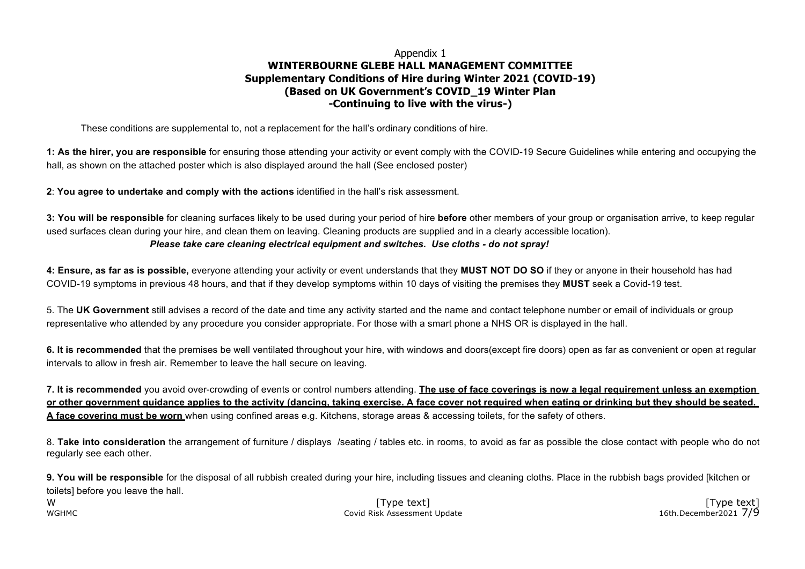#### Appendix 1 **WINTERBOURNE GLEBE HALL MANAGEMENT COMMITTEE Supplementary Conditions of Hire during Winter 2021 (COVID-19) (Based on UK Government's COVID\_19 Winter Plan -Continuing to live with the virus-)**

These conditions are supplemental to, not a replacement for the hall's ordinary conditions of hire.

**1: As the hirer, you are responsible** for ensuring those attending your activity or event comply with the COVID-19 Secure Guidelines while entering and occupying the hall, as shown on the attached poster which is also displayed around the hall (See enclosed poster)

**2**: **You agree to undertake and comply with the actions** identified in the hall's risk assessment.

**3: You will be responsible** for cleaning surfaces likely to be used during your period of hire **before** other members of your group or organisation arrive, to keep regular used surfaces clean during your hire, and clean them on leaving. Cleaning products are supplied and in a clearly accessible location). *Please take care cleaning electrical equipment and switches. Use cloths - do not spray!*

**4: Ensure, as far as is possible,** everyone attending your activity or event understands that they **MUST NOT DO SO** if they or anyone in their household has had COVID-19 symptoms in previous 48 hours, and that if they develop symptoms within 10 days of visiting the premises they **MUST** seek a Covid-19 test.

5. The **UK Government** still advises a record of the date and time any activity started and the name and contact telephone number or email of individuals or group representative who attended by any procedure you consider appropriate. For those with a smart phone a NHS OR is displayed in the hall.

**6. It is recommended** that the premises be well ventilated throughout your hire, with windows and doors(except fire doors) open as far as convenient or open at regular intervals to allow in fresh air. Remember to leave the hall secure on leaving.

**7. It is recommended** you avoid over-crowding of events or control numbers attending. **The use of face coverings is now a legal requirement unless an exemption or other government guidance applies to the activity (dancing, taking exercise. A face cover not required when eating or drinking but they should be seated. A face covering must be worn** when using confined areas e.g. Kitchens, storage areas & accessing toilets, for the safety of others.

8. **Take into consideration** the arrangement of furniture / displays /seating / tables etc. in rooms, to avoid as far as possible the close contact with people who do not regularly see each other.

**9. You will be responsible** for the disposal of all rubbish created during your hire, including tissues and cleaning cloths. Place in the rubbish bags provided [kitchen or toilets] before you leave the hall.

W [Type text] [Type text] WGHMC Covid Risk Assessment Update 16th.December2021 7/9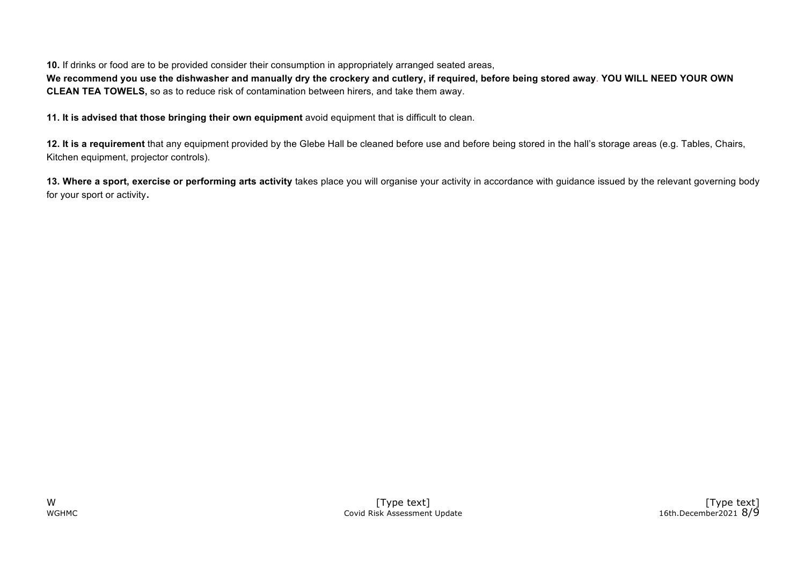**10.** If drinks or food are to be provided consider their consumption in appropriately arranged seated areas,

**We recommend you use the dishwasher and manually dry the crockery and cutlery, if required, before being stored away**. **YOU WILL NEED YOUR OWN CLEAN TEA TOWELS,** so as to reduce risk of contamination between hirers, and take them away.

**11. It is advised that those bringing their own equipment** avoid equipment that is difficult to clean.

**12. It is a requirement** that any equipment provided by the Glebe Hall be cleaned before use and before being stored in the hall's storage areas (e.g. Tables, Chairs, Kitchen equipment, projector controls).

**13. Where a sport, exercise or performing arts activity** takes place you will organise your activity in accordance with guidance issued by the relevant governing body for your sport or activity.